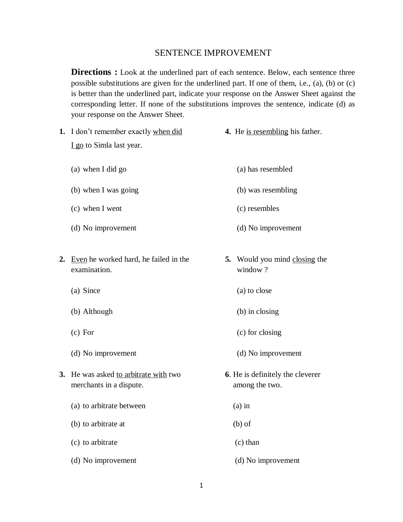## SENTENCE IMPROVEMENT

**Directions :** Look at the underlined part of each sentence. Below, each sentence three possible substitutions are given for the underlined part. If one of them, i.e., (a), (b) or (c) is better than the underlined part, indicate your response on the Answer Sheet against the corresponding letter. If none of the substitutions improves the sentence, indicate (d) as your response on the Answer Sheet.

- **1.** I don't remember exactly when did **4.** He is resembling his father. I go to Simla last year.
	- (a) when I did go (a) has resembled
	- (b) when I was going (b) was resembling
	- (c) when I went (c) resembles
	- (d) No improvement (d) No improvement
- **2.** Even he worked hard, he failed in the **5.** Would you mind closing the examination. window ?
	-
	- (b) Although (b) in closing
	-
	- (d) No improvement (d) No improvement
- **3.** He was asked to arbitrate with two **6**. He is definitely the cleverer merchants in a dispute. The among the two.
	- (a) to arbitrate between (a) in
	- (b) to arbitrate at (b) of
	- (c) to arbitrate (c) than
	- (d) No improvement (d) No improvement
- -
	-
	-
	-
- 
- (a) Since (a) to close
	-
- (c) For (c) for closing
	-
	- -
		-
		-
		-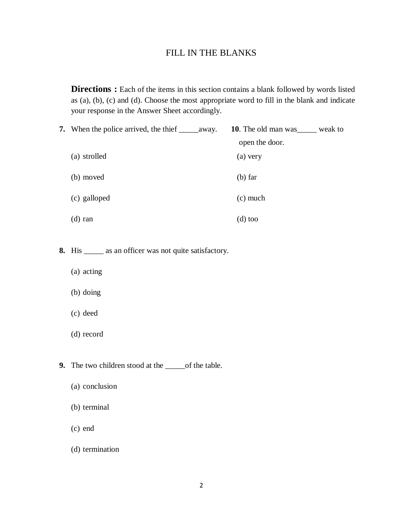# FILL IN THE BLANKS

**Directions :** Each of the items in this section contains a blank followed by words listed as (a), (b), (c) and (d). Choose the most appropriate word to fill in the blank and indicate your response in the Answer Sheet accordingly.

- **7.** When the police arrived, the thief \_\_\_\_\_away. **10**. The old man was\_\_\_\_\_ weak to open the door. (a) strolled (a) very (b) moved (b) far (c) galloped (c) much (d) ran (d) too
- **8.** His \_\_\_\_\_ as an officer was not quite satisfactory.
	- (a) acting
	- (b) doing
	- (c) deed
	- (d) record
- **9.** The two children stood at the \_\_\_\_\_of the table.
	- (a) conclusion
	- (b) terminal
	- (c) end
	- (d) termination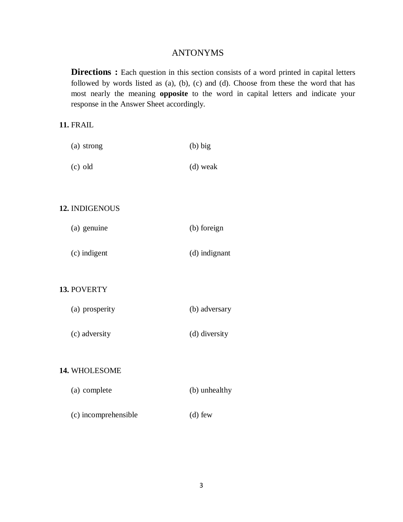# ANTONYMS

**Directions :** Each question in this section consists of a word printed in capital letters followed by words listed as (a), (b), (c) and (d). Choose from these the word that has most nearly the meaning **opposite** to the word in capital letters and indicate your response in the Answer Sheet accordingly.

# **11.** FRAIL

| (a) strong | $(b)$ big  |
|------------|------------|
| $(c)$ old  | $(d)$ weak |

## **12.** INDIGENOUS

| (a) genuine | (b) foreign |
|-------------|-------------|
|             |             |

(c) indigent (d) indignant

### **13.** POVERTY

| (a) prosperity | (b) adversary |
|----------------|---------------|
| (c) adversity  | (d) diversity |

#### **14.** WHOLESOME

| (b) unhealthy |
|---------------|
|               |

(c) incomprehensible (d) few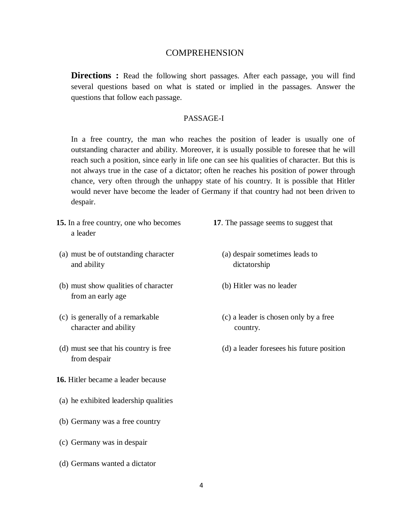## COMPREHENSION

**Directions** : Read the following short passages. After each passage, you will find several questions based on what is stated or implied in the passages. Answer the questions that follow each passage.

#### PASSAGE-I

In a free country, the man who reaches the position of leader is usually one of outstanding character and ability. Moreover, it is usually possible to foresee that he will reach such a position, since early in life one can see his qualities of character. But this is not always true in the case of a dictator; often he reaches his position of power through chance, very often through the unhappy state of his country. It is possible that Hitler would never have become the leader of Germany if that country had not been driven to despair.

- **15.** In a free country, one who becomes **17**. The passage seems to suggest that a leader
- (a) must be of outstanding character (a) despair sometimes leads to and ability dictatorship
- (b) must show qualities of character (b) Hitler was no leader from an early age
- character and ability country.
- from despair
- **16.** Hitler became a leader because
- (a) he exhibited leadership qualities
- (b) Germany was a free country
- (c) Germany was in despair
- (d) Germans wanted a dictator
- -
	-
- (c) is generally of a remarkable (c) a leader is chosen only by a free
- (d) must see that his country is free (d) a leader foresees his future position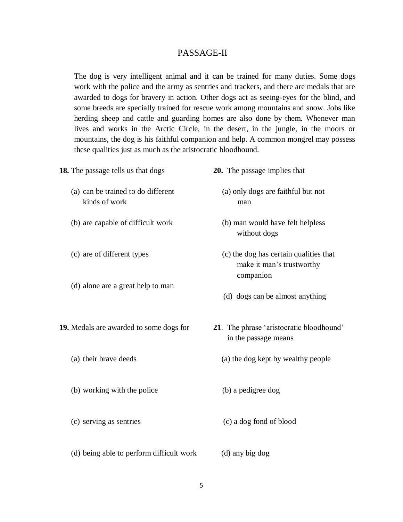## PASSAGE-II

The dog is very intelligent animal and it can be trained for many duties. Some dogs work with the police and the army as sentries and trackers, and there are medals that are awarded to dogs for bravery in action. Other dogs act as seeing-eyes for the blind, and some breeds are specially trained for rescue work among mountains and snow. Jobs like herding sheep and cattle and guarding homes are also done by them. Whenever man lives and works in the Arctic Circle, in the desert, in the jungle, in the moors or mountains, the dog is his faithful companion and help. A common mongrel may possess these qualities just as much as the aristocratic bloodhound.

| <b>18.</b> The passage tells us that dogs           | 20. The passage implies that                                                     |
|-----------------------------------------------------|----------------------------------------------------------------------------------|
| (a) can be trained to do different<br>kinds of work | (a) only dogs are faithful but not<br>man                                        |
| (b) are capable of difficult work                   | (b) man would have felt helpless<br>without dogs                                 |
| (c) are of different types                          | (c) the dog has certain qualities that<br>make it man's trustworthy<br>companion |
| (d) alone are a great help to man                   | (d) dogs can be almost anything                                                  |
| 19. Medals are awarded to some dogs for             | 21. The phrase 'aristocratic bloodhound'<br>in the passage means                 |
| (a) their brave deeds                               | (a) the dog kept by wealthy people                                               |
| (b) working with the police                         | (b) a pedigree dog                                                               |
| (c) serving as sentries                             | (c) a dog fond of blood                                                          |
| (d) being able to perform difficult work            | (d) any big dog                                                                  |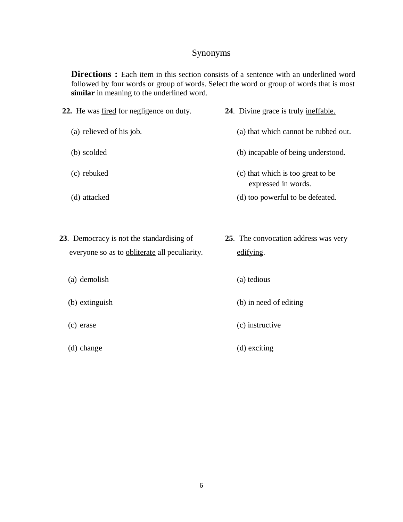# Synonyms

**Directions** : Each item in this section consists of a sentence with an underlined word followed by four words or group of words. Select the word or group of words that is most **similar** in meaning to the underlined word.

- **22.** He was fired for negligence on duty. **24**. Divine grace is truly ineffable. (a) relieved of his job. (a) that which cannot be rubbed out. (b) scolded (b) incapable of being understood. (c) rebuked (c) that which is too great to be
	- (d) attacked (d) too powerful to be defeated.
- **23**. Democracy is not the standardising of **25**. The convocation address was very everyone so as to obliterate all peculiarity. edifying.

expressed in words.

- 
- 
- 
- 
- (a) demolish (a) tedious
- (b) extinguish (b) in need of editing
- (c) erase (c) instructive
- (d) change (d) exciting